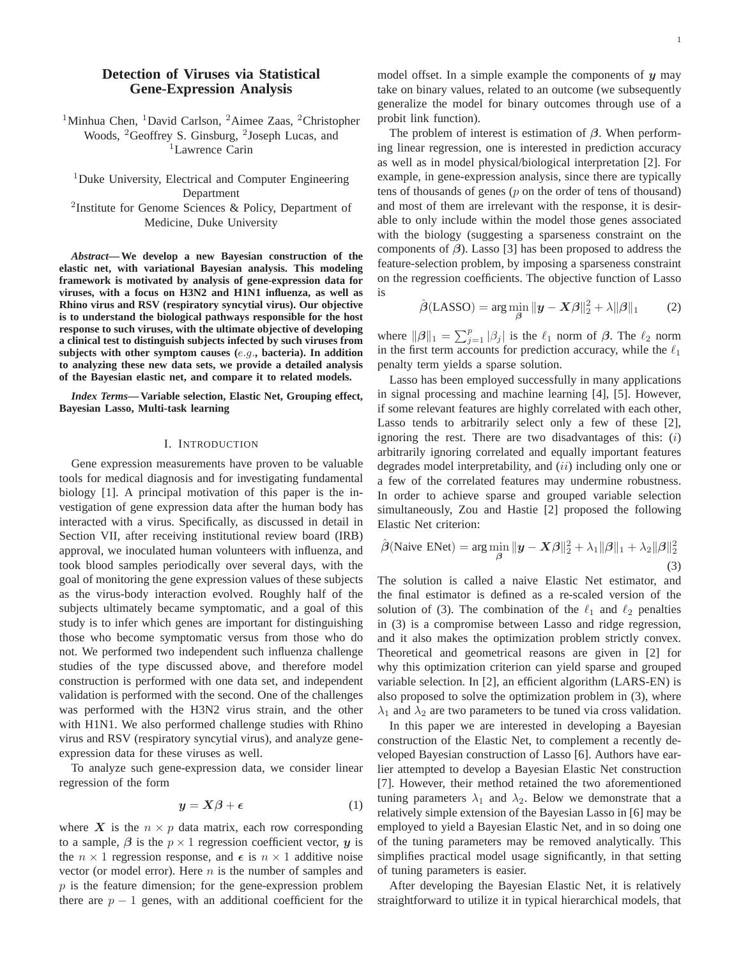# **Detection of Viruses via Statistical Gene-Expression Analysis**

<sup>1</sup>Minhua Chen, <sup>1</sup>David Carlson, <sup>2</sup>Aimee Zaas, <sup>2</sup>Christopher Woods, <sup>2</sup>Geoffrey S. Ginsburg, <sup>2</sup>Joseph Lucas, and <sup>1</sup>Lawrence Carin

<sup>1</sup>Duke University, Electrical and Computer Engineering Department <sup>2</sup>Institute for Genome Sciences & Policy, Department of Medicine, Duke University

*Abstract***— We develop a new Bayesian construction of the elastic net, with variational Bayesian analysis. This modeling framework is motivated by analysis of gene-expression data for viruses, with a focus on H3N2 and H1N1 influenza, as well as Rhino virus and RSV (respiratory syncytial virus). Our objective**

**is to understand the biological pathways responsible for the host response to such viruses, with the ultimate objective of developing a clinical test to distinguish subjects infected by such viruses from subjects with other symptom causes (***e.g.***, bacteria). In addition to analyzing these new data sets, we provide a detailed analysis of the Bayesian elastic net, and compare it to related models.**

*Index Terms***— Variable selection, Elastic Net, Grouping effect, Bayesian Lasso, Multi-task learning**

### I. INTRODUCTION

Gene expression measurements have proven to be valuable tools for medical diagnosis and for investigating fundamental biology [1]. A principal motivation of this paper is the investigation of gene expression data after the human body has interacted with a virus. Specifically, as discussed in detail in Section VII, after receiving institutional review board (IRB) approval, we inoculated human volunteers with influenza, and took blood samples periodically over several days, with the goal of monitoring the gene expression values of these subjects as the virus-body interaction evolved. Roughly half of the subjects ultimately became symptomatic, and a goal of this study is to infer which genes are important for distinguishing those who become symptomatic versus from those who do not. We performed two independent such influenza challenge studies of the type discussed above, and therefore model construction is performed with one data set, and independent validation is performed with the second. One of the challenges was performed with the H3N2 virus strain, and the other with H1N1. We also performed challenge studies with Rhino virus and RSV (respiratory syncytial virus), and analyze geneexpression data for these viruses as well.

To analyze such gene-expression data, we consider linear regression of the form

$$
y = X\beta + \epsilon \tag{1}
$$

where  $X$  is the  $n \times p$  data matrix, each row corresponding to a sample,  $\beta$  is the  $p \times 1$  regression coefficient vector, *y* is the  $n \times 1$  regression response, and  $\epsilon$  is  $n \times 1$  additive noise vector (or model error). Here  $n$  is the number of samples and  $p$  is the feature dimension; for the gene-expression problem there are  $p - 1$  genes, with an additional coefficient for the model offset. In a simple example the components of *y* may take on binary values, related to an outcome (we subsequently generalize the model for binary outcomes through use of a probit link function).

The problem of interest is estimation of *β*. When performing linear regression, one is interested in prediction accuracy as well as in model physical/biological interpretation [2]. For example, in gene-expression analysis, since there are typically tens of thousands of genes  $(p \text{ on the order of tens of thousand})$ and most of them are irrelevant with the response, it is desirable to only include within the model those genes associated with the biology (suggesting a sparseness constraint on the components of *β*). Lasso [3] has been proposed to address the feature-selection problem, by imposing a sparseness constraint on the regression coefficients. The objective function of Lasso is

$$
\hat{\boldsymbol{\beta}}(\text{LASSO}) = \arg\min_{\boldsymbol{\beta}} \|\mathbf{y} - \mathbf{X}\boldsymbol{\beta}\|_2^2 + \lambda \|\boldsymbol{\beta}\|_1 \qquad (2)
$$

where  $\|\boldsymbol{\beta}\|_1 = \sum_{j=1}^p |\beta_j|$  is the  $\ell_1$  norm of  $\boldsymbol{\beta}$ . The  $\ell_2$  norm<br>in the first term accounts for prediction accuracy while the  $\ell_2$ in the first term accounts for prediction accuracy, while the  $\ell_1$ penalty term yields a sparse solution.

Lasso has been employed successfully in many applications in signal processing and machine learning [4], [5]. However, if some relevant features are highly correlated with each other, Lasso tends to arbitrarily select only a few of these [2], ignoring the rest. There are two disadvantages of this:  $(i)$ arbitrarily ignoring correlated and equally important features degrades model interpretability, and  $(ii)$  including only one or a few of the correlated features may undermine robustness. In order to achieve sparse and grouped variable selection simultaneously, Zou and Hastie [2] proposed the following Elastic Net criterion:

$$
\hat{\boldsymbol{\beta}}(\text{Naive ENet}) = \arg\min_{\boldsymbol{\beta}} \|\mathbf{y} - \mathbf{X}\boldsymbol{\beta}\|_2^2 + \lambda_1 \|\boldsymbol{\beta}\|_1 + \lambda_2 \|\boldsymbol{\beta}\|_2^2
$$
\n(3)

The solution is called a naive Elastic Net estimator, and the final estimator is defined as a re-scaled version of the solution of (3). The combination of the  $\ell_1$  and  $\ell_2$  penalties in (3) is a compromise between Lasso and ridge regression, and it also makes the optimization problem strictly convex. Theoretical and geometrical reasons are given in [2] for why this optimization criterion can yield sparse and grouped variable selection. In [2], an efficient algorithm (LARS-EN) is also proposed to solve the optimization problem in (3), where  $\lambda_1$  and  $\lambda_2$  are two parameters to be tuned via cross validation.

In this paper we are interested in developing a Bayesian construction of the Elastic Net, to complement a recently developed Bayesian construction of Lasso [6]. Authors have earlier attempted to develop a Bayesian Elastic Net construction [7]. However, their method retained the two aforementioned tuning parameters  $\lambda_1$  and  $\lambda_2$ . Below we demonstrate that a relatively simple extension of the Bayesian Lasso in [6] may be employed to yield a Bayesian Elastic Net, and in so doing one of the tuning parameters may be removed analytically. This simplifies practical model usage significantly, in that setting of tuning parameters is easier.

After developing the Bayesian Elastic Net, it is relatively straightforward to utilize it in typical hierarchical models, that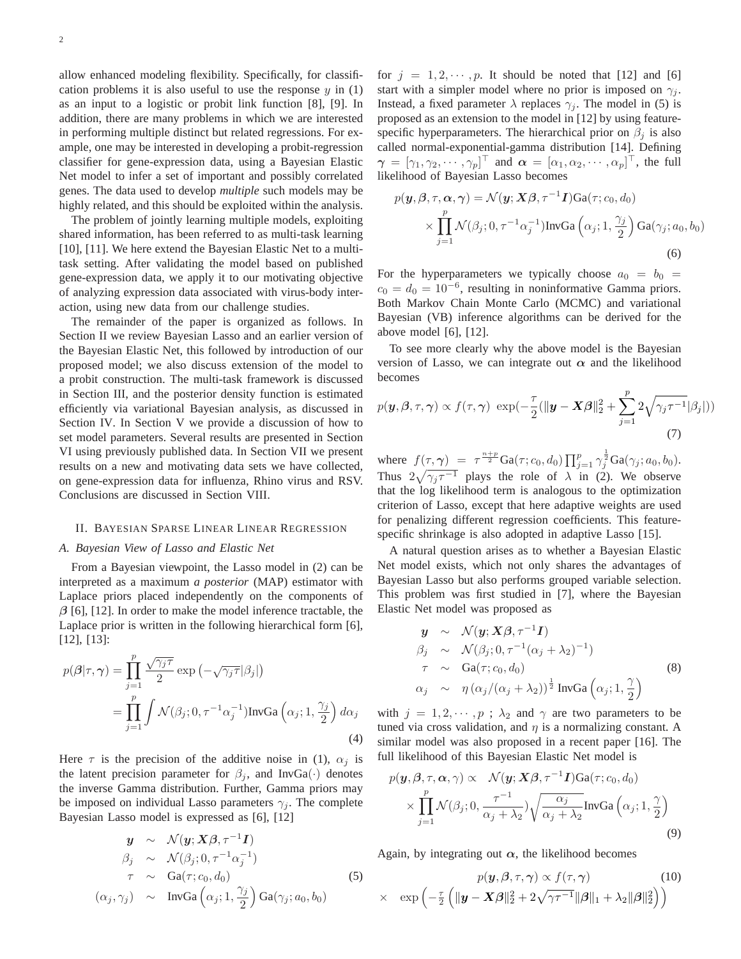allow enhanced modeling flexibility. Specifically, for classification problems it is also useful to use the response  $y$  in (1) as an input to a logistic or probit link function [8], [9]. In addition, there are many problems in which we are interested in performing multiple distinct but related regressions. For example, one may be interested in developing a probit-regression classifier for gene-expression data, using a Bayesian Elastic Net model to infer a set of important and possibly correlated genes. The data used to develop *multiple* such models may be highly related, and this should be exploited within the analysis.

The problem of jointly learning multiple models, exploiting shared information, has been referred to as multi-task learning [10], [11]. We here extend the Bayesian Elastic Net to a multitask setting. After validating the model based on published gene-expression data, we apply it to our motivating objective of analyzing expression data associated with virus-body interaction, using new data from our challenge studies.

The remainder of the paper is organized as follows. In Section II we review Bayesian Lasso and an earlier version of the Bayesian Elastic Net, this followed by introduction of our proposed model; we also discuss extension of the model to a probit construction. The multi-task framework is discussed in Section III, and the posterior density function is estimated efficiently via variational Bayesian analysis, as discussed in Section IV. In Section V we provide a discussion of how to set model parameters. Several results are presented in Section VI using previously published data. In Section VII we present results on a new and motivating data sets we have collected, on gene-expression data for influenza, Rhino virus and RSV. Conclusions are discussed in Section VIII.

#### II. BAYESIAN SPARSE LINEAR LINEAR REGRESSION

### *A. Bayesian View of Lasso and Elastic Net*

From a Bayesian viewpoint, the Lasso model in (2) can be interpreted as a maximum *a posterior* (MAP) estimator with Laplace priors placed independently on the components of *β* [6], [12]. In order to make the model inference tractable, the Laplace prior is written in the following hierarchical form [6], [12], [13]:

$$
p(\boldsymbol{\beta}|\tau,\boldsymbol{\gamma}) = \prod_{j=1}^{p} \frac{\sqrt{\gamma_{j}\tau}}{2} \exp\left(-\sqrt{\gamma_{j}\tau}|\beta_{j}|\right)
$$
  
= 
$$
\prod_{j=1}^{p} \int \mathcal{N}(\beta_{j}; 0, \tau^{-1}\alpha_{j}^{-1}) \text{InvGa}\left(\alpha_{j}; 1, \frac{\gamma_{j}}{2}\right) d\alpha_{j}
$$
(4)

Here  $\tau$  is the precision of the additive noise in (1),  $\alpha_i$  is the latent precision parameter for  $\beta_i$ , and InvGa(·) denotes the inverse Gamma distribution. Further, Gamma priors may be imposed on individual Lasso parameters  $\gamma_i$ . The complete Bayesian Lasso model is expressed as [6], [12]

$$
\mathbf{y} \sim \mathcal{N}(\mathbf{y}; \mathbf{X}\boldsymbol{\beta}, \tau^{-1}\mathbf{I})
$$
\n
$$
\beta_j \sim \mathcal{N}(\beta_j; 0, \tau^{-1}\alpha_j^{-1})
$$
\n
$$
\tau \sim \text{Ga}(\tau; c_0, d_0)
$$
\n
$$
(\alpha_j, \gamma_j) \sim \text{InvGa}\left(\alpha_j; 1, \frac{\gamma_j}{2}\right) \text{Ga}(\gamma_j; a_0, b_0)
$$
\n(5)

for  $j = 1, 2, \dots, p$ . It should be noted that [12] and [6] start with a simpler model where no prior is imposed on  $\gamma_i$ . Instead, a fixed parameter  $\lambda$  replaces  $\gamma_i$ . The model in (5) is proposed as an extension to the model in [12] by using featurespecific hyperparameters. The hierarchical prior on  $\beta_i$  is also called normal-exponential-gamma distribution [14]. Defining  $\gamma = [\gamma_1, \gamma_2, \cdots, \gamma_p]^\top$  and  $\alpha = [\alpha_1, \alpha_2, \cdots, \alpha_p]^\top$ , the full likelihood of Bayesian Lasso becomes likelihood of Bayesian Lasso becomes

$$
p(\mathbf{y}, \beta, \tau, \alpha, \gamma) = \mathcal{N}(\mathbf{y}; \mathbf{X}\beta, \tau^{-1}\mathbf{I})\text{Ga}(\tau; c_0, d_0)
$$
  
 
$$
\times \prod_{j=1}^{p} \mathcal{N}(\beta_j; 0, \tau^{-1}\alpha_j^{-1}) \text{InvGa}\left(\alpha_j; 1, \frac{\gamma_j}{2}\right) \text{Ga}(\gamma_j; a_0, b_0)
$$
  
(6)

For the hyperparameters we typically choose  $a_0 = b_0$  =  $c_0 = d_0 = 10^{-6}$ , resulting in noninformative Gamma priors. Both Markov Chain Monte Carlo (MCMC) and variational Bayesian (VB) inference algorithms can be derived for the above model [6], [12].

To see more clearly why the above model is the Bayesian version of Lasso, we can integrate out  $\alpha$  and the likelihood becomes

$$
p(\mathbf{y}, \boldsymbol{\beta}, \tau, \boldsymbol{\gamma}) \propto f(\tau, \boldsymbol{\gamma}) \exp(-\frac{\tau}{2}(\|\mathbf{y} - \mathbf{X}\boldsymbol{\beta}\|_2^2 + \sum_{j=1}^p 2\sqrt{\gamma_j \tau^{-1}}|\beta_j|))
$$
\n(7)

where  $f(\tau, \gamma) = \tau^{\frac{n+p}{2}} \text{Ga}(\tau; c_0, d_0) \prod_{j=1}^p \gamma_j^{\frac{1}{2}} \text{Ga}(\gamma_j; a_0, b_0).$ <br>Thus,  $2\sqrt{r-1}$ , plays, the rale of  $\lambda$ , in (2). We shapen Thus  $2\sqrt{\gamma_j \tau^{-1}}$  plays the role of  $\lambda$  in (2). We observe<br>that the log likelihood term is analogous to the optimization that the log likelihood term is analogous to the optimization criterion of Lasso, except that here adaptive weights are used for penalizing different regression coefficients. This featurespecific shrinkage is also adopted in adaptive Lasso [15].

A natural question arises as to whether a Bayesian Elastic Net model exists, which not only shares the advantages of Bayesian Lasso but also performs grouped variable selection. This problem was first studied in [7], where the Bayesian Elastic Net model was proposed as

$$
\mathbf{y} \sim \mathcal{N}(\mathbf{y}; \mathbf{X}\boldsymbol{\beta}, \tau^{-1}\mathbf{I})
$$
\n
$$
\beta_j \sim \mathcal{N}(\beta_j; 0, \tau^{-1}(\alpha_j + \lambda_2)^{-1})
$$
\n
$$
\tau \sim \text{Ga}(\tau; c_0, d_0)
$$
\n
$$
\alpha_j \sim \eta \left(\alpha_j/(\alpha_j + \lambda_2)\right)^{\frac{1}{2}} \text{InvGa}\left(\alpha_j; 1, \frac{\gamma}{2}\right)
$$
\n(8)

with  $j = 1, 2, \dots, p$ ;  $\lambda_2$  and  $\gamma$  are two parameters to be tuned via cross validation, and n is a normalizing constant. A tuned via cross validation, and  $\eta$  is a normalizing constant. A similar model was also proposed in a recent paper [16]. The full likelihood of this Bayesian Elastic Net model is

$$
p(\mathbf{y}, \boldsymbol{\beta}, \tau, \boldsymbol{\alpha}, \gamma) \propto \mathcal{N}(\mathbf{y}; \mathbf{X}\boldsymbol{\beta}, \tau^{-1}\mathbf{I})\text{Ga}(\tau; c_0, d_0)
$$
  
 
$$
\times \prod_{j=1}^{p} \mathcal{N}(\beta_j; 0, \frac{\tau^{-1}}{\alpha_j + \lambda_2}) \sqrt{\frac{\alpha_j}{\alpha_j + \lambda_2}} \text{InvGa}\left(\alpha_j; 1, \frac{\gamma}{2}\right)
$$
  
(9)

Again, by integrating out  $\alpha$ , the likelihood becomes

$$
p(\mathbf{y}, \boldsymbol{\beta}, \tau, \boldsymbol{\gamma}) \propto f(\tau, \boldsymbol{\gamma}) \qquad (10)
$$
  
 
$$
\times \exp\left(-\frac{\tau}{2}\left(\|\mathbf{y} - \mathbf{X}\boldsymbol{\beta}\|_{2}^{2} + 2\sqrt{\gamma\tau^{-1}}\|\boldsymbol{\beta}\|_{1} + \lambda_{2}\|\boldsymbol{\beta}\|_{2}^{2}\right)\right)
$$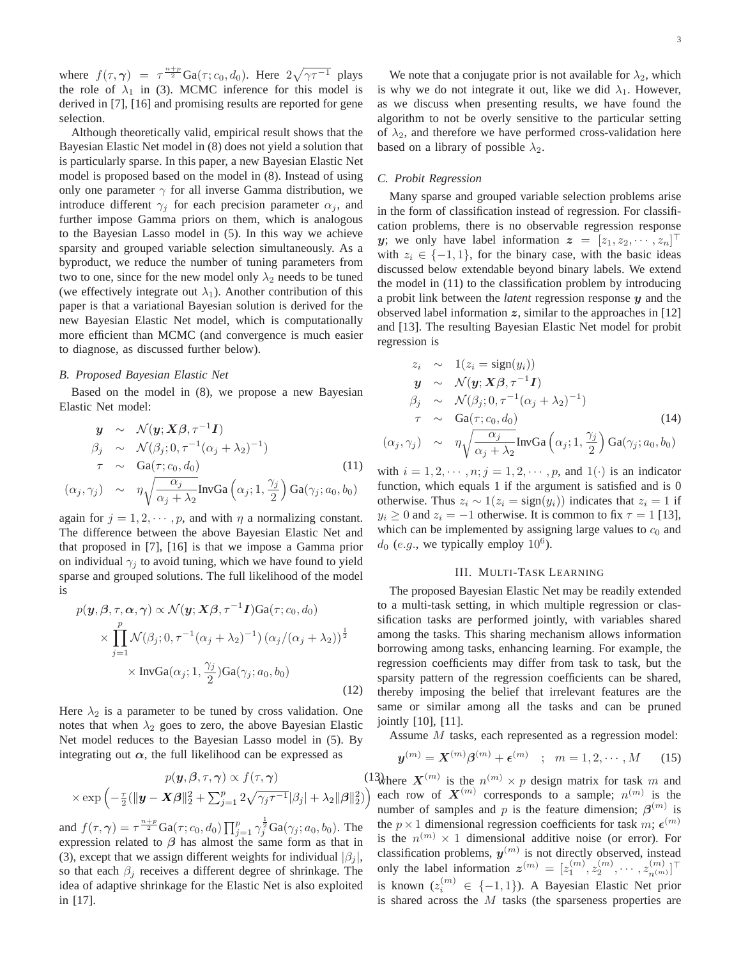where  $f(\tau, \gamma) = \tau^{\frac{n+p}{2}} \text{Ga}(\tau; c_0, d_0)$ . Here  $2\sqrt{\gamma \tau^{-1}}$  plays<br>the role of  $\lambda$ , in (3) MCMC inference for this model is the role of  $\lambda_1$  in (3). MCMC inference for this model is derived in [7], [16] and promising results are reported for gene selection.

Although theoretically valid, empirical result shows that the Bayesian Elastic Net model in (8) does not yield a solution that is particularly sparse. In this paper, a new Bayesian Elastic Net model is proposed based on the model in (8). Instead of using only one parameter  $\gamma$  for all inverse Gamma distribution, we introduce different  $\gamma_j$  for each precision parameter  $\alpha_j$ , and further impose Gamma priors on them, which is analogous to the Bayesian Lasso model in (5). In this way we achieve sparsity and grouped variable selection simultaneously. As a byproduct, we reduce the number of tuning parameters from two to one, since for the new model only  $\lambda_2$  needs to be tuned (we effectively integrate out  $\lambda_1$ ). Another contribution of this paper is that a variational Bayesian solution is derived for the new Bayesian Elastic Net model, which is computationally more efficient than MCMC (and convergence is much easier to diagnose, as discussed further below).

### *B. Proposed Bayesian Elastic Net*

Based on the model in (8), we propose a new Bayesian Elastic Net model:

$$
\mathbf{y} \sim \mathcal{N}(\mathbf{y}; \mathbf{X}\boldsymbol{\beta}, \tau^{-1}\mathbf{I})
$$
\n
$$
\beta_j \sim \mathcal{N}(\beta_j; 0, \tau^{-1}(\alpha_j + \lambda_2)^{-1})
$$
\n
$$
\tau \sim \text{Ga}(\tau; c_0, d_0)
$$
\n
$$
\gamma \sim \eta \sqrt{\frac{\alpha_j}{\alpha_j}} \text{InvGa}(\alpha + \frac{\gamma_j}{\alpha}) \text{Ga}(\gamma + a_0, b_0)
$$
\n(11)

$$
(\alpha_j, \gamma_j)
$$
 ~  $\eta \sqrt{\frac{\alpha_j}{\alpha_j + \lambda_2}} \text{InvGa}\left(\alpha_j; 1, \frac{\gamma_j}{2}\right) \text{Ga}(\gamma_j; a_0, b_0)$ 

again for  $j = 1, 2, \dots, p$ , and with  $\eta$  a normalizing constant.<br>The difference between the above Bayesian Elastic Net and The difference between the above Bayesian Elastic Net and that proposed in [7], [16] is that we impose a Gamma prior on individual  $\gamma_j$  to avoid tuning, which we have found to yield sparse and grouped solutions. The full likelihood of the model is

$$
p(\mathbf{y}, \beta, \tau, \alpha, \gamma) \propto \mathcal{N}(\mathbf{y}; \mathbf{X}\beta, \tau^{-1}\mathbf{I})\text{Ga}(\tau; c_0, d_0)
$$
  
 
$$
\times \prod_{j=1}^{p} \mathcal{N}(\beta_j; 0, \tau^{-1}(\alpha_j + \lambda_2)^{-1}) (\alpha_j/(\alpha_j + \lambda_2))^{\frac{1}{2}}
$$
  
 
$$
\times \text{InvGa}(\alpha_j; 1, \frac{\gamma_j}{2})\text{Ga}(\gamma_j; a_0, b_0)
$$
 (12)

Here  $\lambda_2$  is a parameter to be tuned by cross validation. One notes that when  $\lambda_2$  goes to zero, the above Bayesian Elastic Net model reduces to the Bayesian Lasso model in (5). By integrating out  $\alpha$ , the full likelihood can be expressed as

$$
p(\mathbf{y}, \boldsymbol{\beta}, \tau, \boldsymbol{\gamma}) \propto f(\tau, \boldsymbol{\gamma}) \qquad (13) \tag{13}
$$

$$
\times \exp\left(-\frac{\tau}{2}(\|\mathbf{y} - \mathbf{X}\boldsymbol{\beta}\|_{2}^{2} + \sum_{j=1}^{p} 2\sqrt{\gamma_{j}\tau^{-1}}|\beta_{j}| + \lambda_{2} \|\boldsymbol{\beta}\|_{2}^{2}\right) \qquad \text{or} \qquad \text{and} \qquad \text{and} \qquad \text{and} \qquad \text{and} \qquad \text{and} \qquad \text{and} \qquad \text{and} \qquad \text{and} \qquad \text{and} \qquad \text{and} \qquad \text{and} \qquad \text{and} \qquad \text{and} \qquad \text{and} \qquad \text{and} \qquad \text{and} \qquad \text{and} \qquad \text{and} \qquad \text{and} \qquad \text{and} \qquad \text{and} \qquad \text{and} \qquad \text{and} \qquad \text{and} \qquad \text{and} \qquad \text{and} \qquad \text{and} \qquad \text{and} \qquad \text{and} \qquad \text{and} \qquad \text{and} \qquad \text{and} \qquad \text{and} \qquad \text{and} \qquad \text{and} \qquad \text{and} \qquad \text{and} \qquad \text{and} \qquad \text{and} \qquad \text{and} \qquad \text{and} \qquad \text{and} \qquad \text{and} \qquad \text{and} \qquad \text{and} \qquad \text{and} \qquad \text{and} \qquad \text{and} \qquad \text{and} \qquad \text{and} \qquad \text{and} \qquad \text{and} \qquad \text{and} \qquad \text{and} \qquad \text{and} \qquad \text{and} \qquad \text{and} \qquad \text{and} \qquad \text{and} \qquad \text{and} \qquad \text{and} \qquad \text{and} \qquad \text{and} \qquad \text{and} \qquad \text{and} \qquad \text{and} \qquad \text{and} \qquad \text{and} \qquad \text{and} \qquad \text{and} \qquad \text{and} \qquad \text{and} \qquad \text{and} \qquad \text{and} \qquad \text{and} \qquad \text{
$$

and  $f(\tau, \gamma) = \tau^{\frac{n+p}{2}} \text{Ga}(\tau; c_0, d_0) \prod_{j=1}^p \gamma_j^{\frac{1}{2}} \text{Ga}(\gamma_j; a_0, b_0)$ . The expression related to *β* has almost the same form as that in (3), except that we assign different weights for individual  $|\beta_j|$ , so that each  $\beta_i$  receives a different degree of shrinkage. The idea of adaptive shrinkage for the Elastic Net is also exploited in [17].

We note that a conjugate prior is not available for  $\lambda_2$ , which is why we do not integrate it out, like we did  $\lambda_1$ . However, as we discuss when presenting results, we have found the algorithm to not be overly sensitive to the particular setting of  $\lambda_2$ , and therefore we have performed cross-validation here based on a library of possible  $\lambda_2$ .

## *C. Probit Regression*

Many sparse and grouped variable selection problems arise in the form of classification instead of regression. For classification problems, there is no observable regression response *y*; we only have label information  $z = [z_1, z_2, \dots, z_n]^\top$ <br>with  $z_i \in I_{-1}$  1) for the binary case, with the basic ideas with  $z_i \in \{-1, 1\}$ , for the binary case, with the basic ideas discussed below extendable beyond binary labels. We extend the model in (11) to the classification problem by introducing a probit link between the *latent* regression response *y* and the observed label information  $z$ , similar to the approaches in  $[12]$ and [13]. The resulting Bayesian Elastic Net model for probit regression is

$$
z_i \sim 1(z_i = sign(y_i))
$$
  
\n
$$
y \sim \mathcal{N}(y; \mathbf{X}\boldsymbol{\beta}, \tau^{-1}\mathbf{I})
$$
  
\n
$$
\beta_j \sim \mathcal{N}(\beta_j; 0, \tau^{-1}(\alpha_j + \lambda_2)^{-1})
$$
  
\n
$$
\tau \sim Ga(\tau; c_0, d_0)
$$
  
\n
$$
(\alpha_j, \gamma_j) \sim \eta \sqrt{\frac{\alpha_j}{\alpha_j + \lambda_2}} \text{InvGa}\left(\alpha_j; 1, \frac{\gamma_j}{2}\right) Ga(\gamma_j; a_0, b_0)
$$

with  $i = 1, 2, \dots, n; j = 1, 2, \dots, p$ , and  $1(\cdot)$  is an indicator<br>function, which equals 1 if the argument is satisfied and is 0 function, which equals 1 if the argument is satisfied and is 0 otherwise. Thus  $z_i \sim 1(z_i = sign(y_i))$  indicates that  $z_i = 1$  if  $y_i \ge 0$  and  $z_i = -1$  otherwise. It is common to fix  $\tau = 1$  [13], which can be implemented by assigning large values to  $c_0$  and  $d_0$  (e.g., we typically employ 10<sup>6</sup>).

### III. MULTI-TASK LEARNING

The proposed Bayesian Elastic Net may be readily extended to a multi-task setting, in which multiple regression or classification tasks are performed jointly, with variables shared among the tasks. This sharing mechanism allows information borrowing among tasks, enhancing learning. For example, the regression coefficients may differ from task to task, but the sparsity pattern of the regression coefficients can be shared, thereby imposing the belief that irrelevant features are the same or similar among all the tasks and can be pruned jointly [10], [11].

Assume M tasks, each represented as a regression model:

$$
\boldsymbol{y}^{(m)} = \boldsymbol{X}^{(m)} \boldsymbol{\beta}^{(m)} + \boldsymbol{\epsilon}^{(m)} \quad ; \quad m = 1, 2, \cdots, M \qquad (15)
$$

<sup>13</sup>where  $X^{(m)}$  is the  $n^{(m)} \times p$  design matrix for task m and each row of  $\mathbf{X}^{(m)}$  corresponds to a sample;  $n^{(m)}$  is the number of samples and p is the feature dimension;  $\beta^{(m)}$  is the  $p \times 1$  dimensional regression coefficients for task m;  $\epsilon^{(m)}$ is the  $n^{(m)} \times 1$  dimensional additive noise (or error). For classification problems, *y*(m) is not directly observed, instead only the label information  $\mathbf{z}^{(m)} = [z_1^{(m)}, z_2^{(m)}, \cdots, z_{n^{(m)}}^{(m)}]^\top$ is known  $(z_i^{(m)} \in \{-1,1\})$ . A Bayesian Elastic Net prior<br>is shared across the M tasks (the sparseness properties are is shared across the  $M$  tasks (the sparseness properties are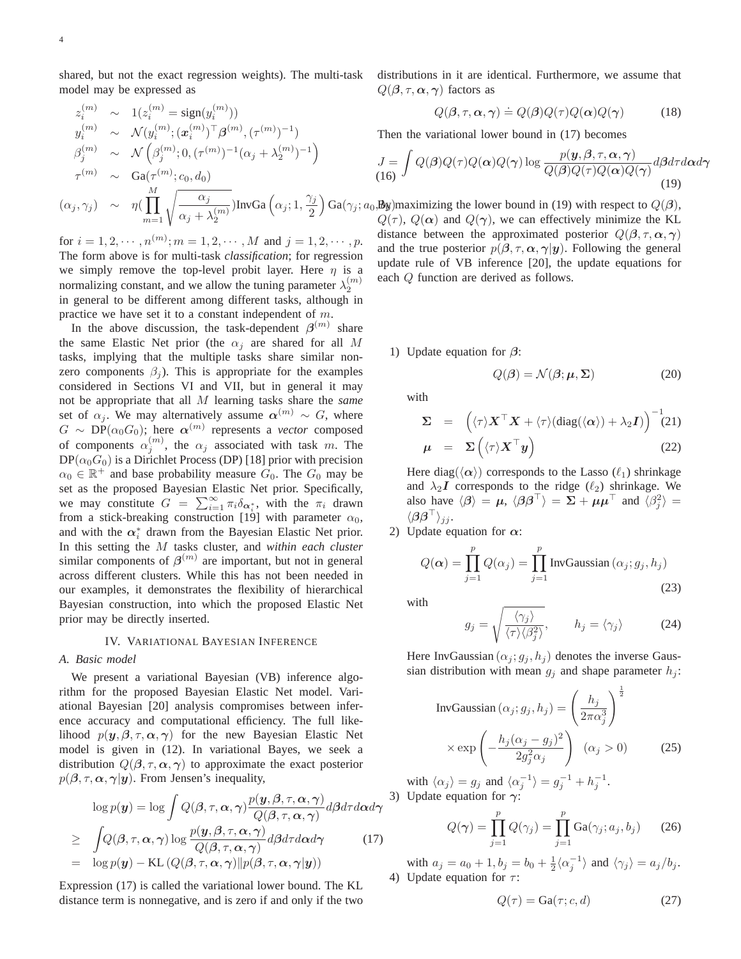shared, but not the exact regression weights). The multi-task model may be expressed as

$$
z_i^{(m)} \sim 1(z_i^{(m)} = \text{sign}(y_i^{(m)}))
$$
  
\n
$$
y_i^{(m)} \sim \mathcal{N}(y_i^{(m)}; (\boldsymbol{x}_i^{(m)})^\top \boldsymbol{\beta}^{(m)}, (\tau^{(m)})^{-1})
$$
  
\n
$$
\beta_j^{(m)} \sim \mathcal{N}\left(\beta_j^{(m)}; 0, (\tau^{(m)})^{-1}(\alpha_j + \lambda_2^{(m)})^{-1}\right)
$$
  
\n
$$
\tau^{(m)} \sim \text{Ga}(\tau^{(m)}; c_0, d_0)
$$
  
\n
$$
(\alpha_j, \gamma_j) \sim \eta\left(\prod_{m=1}^M \sqrt{\frac{\alpha_j}{\alpha_j + \lambda_2^{(m)}}}\right) \text{InvGa}\left(\alpha_j; 1, \frac{\gamma_j}{2}\right) \text{Ga}(\gamma_j; a_0, \mathbf{B}_y)
$$
  
\n
$$
Q(\tau^{(m)})
$$

for  $i = 1, 2, \dots, n^{(m)}; m = 1, 2, \dots, M$  and  $j = 1, 2, \dots, p$ . The form above is for multi-task *classification*; for regression we simply remove the top-level probit layer. Here  $\eta$  is a normalizing constant, and we allow the tuning parameter  $\lambda_2^{(m)}$ in general to be different among different tasks, although in practice we have set it to a constant independent of m.

In the above discussion, the task-dependent  $\beta^{(m)}$  share the same Elastic Net prior (the  $\alpha_i$  are shared for all M tasks, implying that the multiple tasks share similar nonzero components  $\beta_i$ ). This is appropriate for the examples considered in Sections VI and VII, but in general it may not be appropriate that all M learning tasks share the *same* set of  $\alpha_i$ . We may alternatively assume  $\alpha^{(m)} \sim G$ , where  $G \sim \text{DP}(\alpha_0 G_0)$ ; here  $\alpha^{(m)}$  represents a *vector* composed of components  $\alpha_j^{(m)}$ , the  $\alpha_j$  associated with task m. The  $DP(\alpha_0 G_0)$  is a Dirichlet Process (DP) [18] prior with precision  $\alpha_0 \in \mathbb{R}^+$  and base probability measure  $G_0$ . The  $G_0$  may be set as the proposed Bayesian Elastic Net prior. Specifically, we may constitute  $G = \sum_{i=1}^{\infty} \pi_i \delta_{\alpha_i^*}$ , with the  $\pi_i$  drawn<br>from a stick-breaking construction [19] with parameter  $\alpha_0$ from a stick-breaking construction [19] with parameter  $\alpha_0$ , and with the  $\alpha_i^*$  drawn from the Bayesian Elastic Net prior. In this setting the M tasks cluster, and *within each cluster* similar components of  $\beta^{(m)}$  are important, but not in general across different clusters. While this has not been needed in our examples, it demonstrates the flexibility of hierarchical Bayesian construction, into which the proposed Elastic Net prior may be directly inserted.

#### IV. VARIATIONAL BAYESIAN INFERENCE

## *A. Basic model*

We present a variational Bayesian (VB) inference algorithm for the proposed Bayesian Elastic Net model. Variational Bayesian [20] analysis compromises between inference accuracy and computational efficiency. The full likelihood  $p(y, \beta, \tau, \alpha, \gamma)$  for the new Bayesian Elastic Net model is given in (12). In variational Bayes, we seek a distribution  $Q(\beta, \tau, \alpha, \gamma)$  to approximate the exact posterior  $p(\beta, \tau, \alpha, \gamma | y)$ . From Jensen's inequality,

$$
\log p(\mathbf{y}) = \log \int Q(\boldsymbol{\beta}, \tau, \boldsymbol{\alpha}, \boldsymbol{\gamma}) \frac{p(\mathbf{y}, \boldsymbol{\beta}, \tau, \boldsymbol{\alpha}, \boldsymbol{\gamma})}{Q(\boldsymbol{\beta}, \tau, \boldsymbol{\alpha}, \boldsymbol{\gamma})} d\boldsymbol{\beta} d\tau d\boldsymbol{\alpha} d\boldsymbol{\gamma}
$$
  
\n
$$
\geq \int Q(\boldsymbol{\beta}, \tau, \boldsymbol{\alpha}, \boldsymbol{\gamma}) \log \frac{p(\mathbf{y}, \boldsymbol{\beta}, \tau, \boldsymbol{\alpha}, \boldsymbol{\gamma})}{Q(\boldsymbol{\beta}, \tau, \boldsymbol{\alpha}, \boldsymbol{\gamma})} d\boldsymbol{\beta} d\tau d\boldsymbol{\alpha} d\boldsymbol{\gamma}
$$
(17)  
\n
$$
= \log p(\mathbf{y}) - \text{KL} (Q(\boldsymbol{\beta}, \tau, \boldsymbol{\alpha}, \boldsymbol{\gamma}) || p(\boldsymbol{\beta}, \tau, \boldsymbol{\alpha}, \boldsymbol{\gamma}) | \mathbf{y})
$$

Expression (17) is called the variational lower bound. The KL distance term is nonnegative, and is zero if and only if the two distributions in it are identical. Furthermore, we assume that  $Q(\beta, \tau, \alpha, \gamma)$  factors as

$$
Q(\boldsymbol{\beta}, \tau, \boldsymbol{\alpha}, \boldsymbol{\gamma}) \doteq Q(\boldsymbol{\beta}) Q(\tau) Q(\boldsymbol{\alpha}) Q(\boldsymbol{\gamma}) \tag{18}
$$

Then the variational lower bound in (17) becomes

$$
J = \int Q(\boldsymbol{\beta})Q(\tau)Q(\boldsymbol{\alpha})Q(\boldsymbol{\gamma})\log \frac{p(\boldsymbol{y}, \boldsymbol{\beta}, \tau, \boldsymbol{\alpha}, \boldsymbol{\gamma})}{Q(\boldsymbol{\beta})Q(\tau)Q(\boldsymbol{\alpha})Q(\boldsymbol{\gamma})}d\boldsymbol{\beta}d\tau d\boldsymbol{\alpha}d\boldsymbol{\gamma}
$$
\n(16)

 $Ga(\gamma_i; a_0, B_N)$  maximizing the lower bound in (19) with respect to  $Q(\beta)$ ,<br> $O(\tau)$ ,  $O(\alpha)$  and  $O(\alpha)$ , we can effectively minimize the KI  $Q(\tau)$ ,  $Q(\alpha)$  and  $Q(\gamma)$ , we can effectively minimize the KL distance between the approximated posterior  $Q(\beta, \tau, \alpha, \gamma)$ and the true posterior  $p(\beta, \tau, \alpha, \gamma | y)$ . Following the general update rule of VB inference [20], the update equations for each Q function are derived as follows.

1) Update equation for *β*:

$$
Q(\boldsymbol{\beta}) = \mathcal{N}(\boldsymbol{\beta}; \boldsymbol{\mu}, \boldsymbol{\Sigma})
$$
 (20)

with

$$
\Sigma = \left( \langle \tau \rangle \boldsymbol{X}^{\top} \boldsymbol{X} + \langle \tau \rangle (\text{diag}(\langle \boldsymbol{\alpha} \rangle) + \lambda_2 \boldsymbol{I}) \right)^{-1} (21)
$$
  

$$
\boldsymbol{\mu} = \Sigma \left( \langle \tau \rangle \boldsymbol{X}^{\top} \boldsymbol{y} \right) \tag{22}
$$

Here diag( $\langle \alpha \rangle$ ) corresponds to the Lasso ( $\ell_1$ ) shrinkage and  $\lambda_2 I$  corresponds to the ridge  $(\ell_2)$  shrinkage. We also have  $\langle \beta \rangle = \mu$ ,  $\langle \beta \beta^{\dagger} \rangle = \Sigma + \mu \mu^{\dagger}$  and  $\langle \beta_j^2 \rangle =$  $\langle \bm{\beta}\bm{\beta}^\top \rangle_{jj}.$ 

2) Update equation for *α*:

$$
Q(\alpha) = \prod_{j=1}^{p} Q(\alpha_j) = \prod_{j=1}^{p} InvGaussian(\alpha_j; g_j, h_j)
$$
\n(23)

with

$$
g_j = \sqrt{\frac{\langle \gamma_j \rangle}{\langle \tau \rangle \langle \beta_j^2 \rangle}}, \qquad h_j = \langle \gamma_j \rangle \tag{24}
$$

Here InvGaussian  $(\alpha_j; g_j, h_j)$  denotes the inverse Gaussian distribution with mean  $g_j$  and shape parameter  $h_j$ :

InvGaussian 
$$
(\alpha_j; g_j, h_j) = \left(\frac{h_j}{2\pi\alpha_j^3}\right)^{\frac{1}{2}}
$$
  
  $\times \exp\left(-\frac{h_j(\alpha_j - g_j)^2}{2g_j^2\alpha_j}\right) \quad (\alpha_j > 0)$  (25)

with  $\langle \alpha_j \rangle = g_j$  and  $\langle \alpha_j^{-1} \rangle = g_j^{-1} + h_j^{-1}$ .<br>Undate equation for  $\alpha$ : 3) Update equation for *γ*:

$$
Q(\gamma) = \prod_{j=1}^{p} Q(\gamma_j) = \prod_{j=1}^{p} \text{Ga}(\gamma_j; a_j, b_j)
$$
 (26)

with  $a_j = a_0 + 1, b_j = b_0 + \frac{1}{2} \langle \alpha_j^{-1} \rangle$  and  $\langle \gamma_j \rangle = a_j/b_j$ .<br>Undate equation for  $\tau$ : 4) Update equation for  $\tau$ :

$$
Q(\tau) = \text{Ga}(\tau; c, d) \tag{27}
$$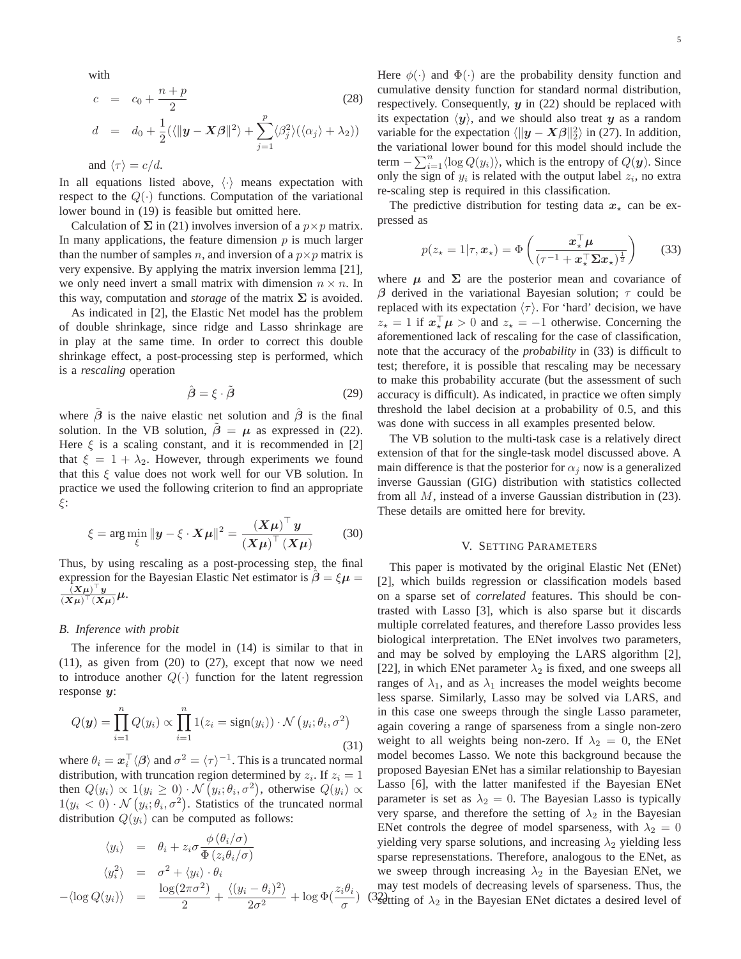with

$$
c = c_0 + \frac{n+p}{2}
$$
 (28)

$$
d = d_0 + \frac{1}{2}(\langle ||\mathbf{y} - \mathbf{X}\boldsymbol{\beta}||^2 \rangle + \sum_{j=1}^p \langle \beta_j^2 \rangle (\langle \alpha_j \rangle + \lambda_2))
$$

and  $\langle \tau \rangle = c/d$ .

In all equations listed above,  $\langle \cdot \rangle$  means expectation with respect to the  $Q(\cdot)$  functions. Computation of the variational lower bound in (19) is feasible but omitted here.

Calculation of  $\Sigma$  in (21) involves inversion of a  $p \times p$  matrix. In many applications, the feature dimension  $p$  is much larger than the number of samples n, and inversion of a  $p \times p$  matrix is very expensive. By applying the matrix inversion lemma [21], we only need invert a small matrix with dimension  $n \times n$ . In this way, computation and *storage* of the matrix  $\Sigma$  is avoided.

As indicated in [2], the Elastic Net model has the problem of double shrinkage, since ridge and Lasso shrinkage are in play at the same time. In order to correct this double shrinkage effect, a post-processing step is performed, which is a *rescaling* operation

$$
\hat{\boldsymbol{\beta}} = \boldsymbol{\xi} \cdot \tilde{\boldsymbol{\beta}} \tag{29}
$$

where  $\hat{\beta}$  is the naive elastic net solution and  $\hat{\beta}$  is the final solution. In the VB solution,  $\tilde{\beta} = \mu$  as expressed in (22). Here  $\xi$  is a scaling constant, and it is recommended in [2] that  $\xi = 1 + \lambda_2$ . However, through experiments we found that this  $\xi$  value does not work well for our VB solution. In practice we used the following criterion to find an appropriate ξ:

$$
\xi = \arg\min_{\xi} \|y - \xi \cdot X\mu\|^2 = \frac{(X\mu)^{\top} y}{(X\mu)^{\top} (X\mu)}
$$
(30)

Thus, by using rescaling as a post-processing step, the final expression for the Bayesian Elastic Net estimator is  $\beta = \xi \mu =$  $\frac{(X\mu)^{-1}y}{(X\mu)^{\top}(X\mu)}\mu.$ 

#### *B. Inference with probit*

The inference for the model in (14) is similar to that in  $(11)$ , as given from  $(20)$  to  $(27)$ , except that now we need to introduce another  $Q(\cdot)$  function for the latent regression response *y*:

$$
Q(\boldsymbol{y}) = \prod_{i=1}^{n} Q(y_i) \propto \prod_{i=1}^{n} 1(z_i = sign(y_i)) \cdot \mathcal{N}(y_i; \theta_i, \sigma^2)
$$
\n(31)

where  $\theta_i = \mathbf{x}_i^{\top} \langle \beta \rangle$  and  $\sigma^2 = \langle \tau \rangle^{-1}$ . This is a truncated normal distribution with truncation region determined by  $\gamma$ . If  $\gamma = 1$ distribution, with truncation region determined by  $z_i$ . If  $z_i = 1$ then  $Q(y_i) \propto 1(y_i \geq 0) \cdot \mathcal{N}(y_i; \theta_i, \sigma^2)$ , otherwise  $Q(y_i) \propto 1(y_i \geq 0) \cdot \mathcal{N}(y_i; \theta_i, \sigma^2)$ . Statistics of the truncated normal  $1(y_i < 0) \cdot \mathcal{N}(y_i; \theta_i, \sigma^2)$ . Statistics of the truncated normal distribution  $O(u_i)$  can be computed as follows: distribution  $Q(y_i)$  can be computed as follows:

$$
\langle y_i \rangle = \theta_i + z_i \sigma \frac{\phi(\theta_i/\sigma)}{\Phi(z_i \theta_i/\sigma)}
$$
  

$$
\langle y_i^2 \rangle = \sigma^2 + \langle y_i \rangle \cdot \theta_i
$$
  

$$
-\langle \log Q(y_i) \rangle = \frac{\log(2\pi\sigma^2)}{2} + \frac{\langle (y_i - \theta_i)^2 \rangle}{2\sigma^2} + \log \Phi(\frac{z_i \theta_i}{\sigma})
$$

Here  $\phi(\cdot)$  and  $\Phi(\cdot)$  are the probability density function and cumulative density function for standard normal distribution, respectively. Consequently, *y* in (22) should be replaced with its expectation  $\langle y \rangle$ , and we should also treat *y* as a random variable for the expectation  $\langle ||y - X\beta||_2^2 \rangle$  in (27). In addition, the variational lower bound for this model should include the term  $-\sum_{i=1}^{n} \langle \log Q(y_i) \rangle$ , which is the entropy of  $Q(\mathbf{y})$ . Since only the sign of  $y_i$  is related with the output label  $z_i$ , no extra re-scaling step is required in this classification.

The predictive distribution for testing data  $x<sub>*</sub>$  can be expressed as

$$
p(z_{\star} = 1 | \tau, \boldsymbol{x}_{\star}) = \Phi\left(\frac{\boldsymbol{x}_{\star}^{\top} \boldsymbol{\mu}}{(\tau^{-1} + \boldsymbol{x}_{\star}^{\top} \boldsymbol{\Sigma} \boldsymbol{x}_{\star})^{\frac{1}{2}}}\right)
$$
(33)

where  $\mu$  and  $\Sigma$  are the posterior mean and covariance of *β* derived in the variational Bayesian solution;  $τ$  could be replaced with its expectation  $\langle \tau \rangle$ . For 'hard' decision, we have  $z_{\star} = 1$  if  $x_{\star}^{\perp} \mu > 0$  and  $z_{\star} = -1$  otherwise. Concerning the assemblanced lack of rescaling for the case of classification aforementioned lack of rescaling for the case of classification, note that the accuracy of the *probability* in (33) is difficult to test; therefore, it is possible that rescaling may be necessary to make this probability accurate (but the assessment of such accuracy is difficult). As indicated, in practice we often simply threshold the label decision at a probability of 0.5, and this was done with success in all examples presented below.

The VB solution to the multi-task case is a relatively direct extension of that for the single-task model discussed above. A main difference is that the posterior for  $\alpha_i$  now is a generalized inverse Gaussian (GIG) distribution with statistics collected from all M, instead of a inverse Gaussian distribution in (23). These details are omitted here for brevity.

### V. SETTING PARAMETERS

 $\sigma$   $\left(\frac{\partial^2 u}{\partial \theta}\right)$  (3<sup>2</sup>) (3<sup>2</sup>) (3<sup>2</sup>) (3<sup>2</sup>) (3<sup>2</sup>) in the Bayesian ENet dictates a desired level of This paper is motivated by the original Elastic Net (ENet) [2], which builds regression or classification models based on a sparse set of *correlated* features. This should be contrasted with Lasso [3], which is also sparse but it discards multiple correlated features, and therefore Lasso provides less biological interpretation. The ENet involves two parameters, and may be solved by employing the LARS algorithm [2], [22], in which ENet parameter  $\lambda_2$  is fixed, and one sweeps all ranges of  $\lambda_1$ , and as  $\lambda_1$  increases the model weights become less sparse. Similarly, Lasso may be solved via LARS, and in this case one sweeps through the single Lasso parameter, again covering a range of sparseness from a single non-zero weight to all weights being non-zero. If  $\lambda_2 = 0$ , the ENet model becomes Lasso. We note this background because the proposed Bayesian ENet has a similar relationship to Bayesian Lasso [6], with the latter manifested if the Bayesian ENet parameter is set as  $\lambda_2 = 0$ . The Bayesian Lasso is typically very sparse, and therefore the setting of  $\lambda_2$  in the Bayesian ENet controls the degree of model sparseness, with  $\lambda_2 = 0$ yielding very sparse solutions, and increasing  $\lambda_2$  yielding less sparse represenstations. Therefore, analogous to the ENet, as we sweep through increasing  $\lambda_2$  in the Bayesian ENet, we may test models of decreasing levels of sparseness. Thus, the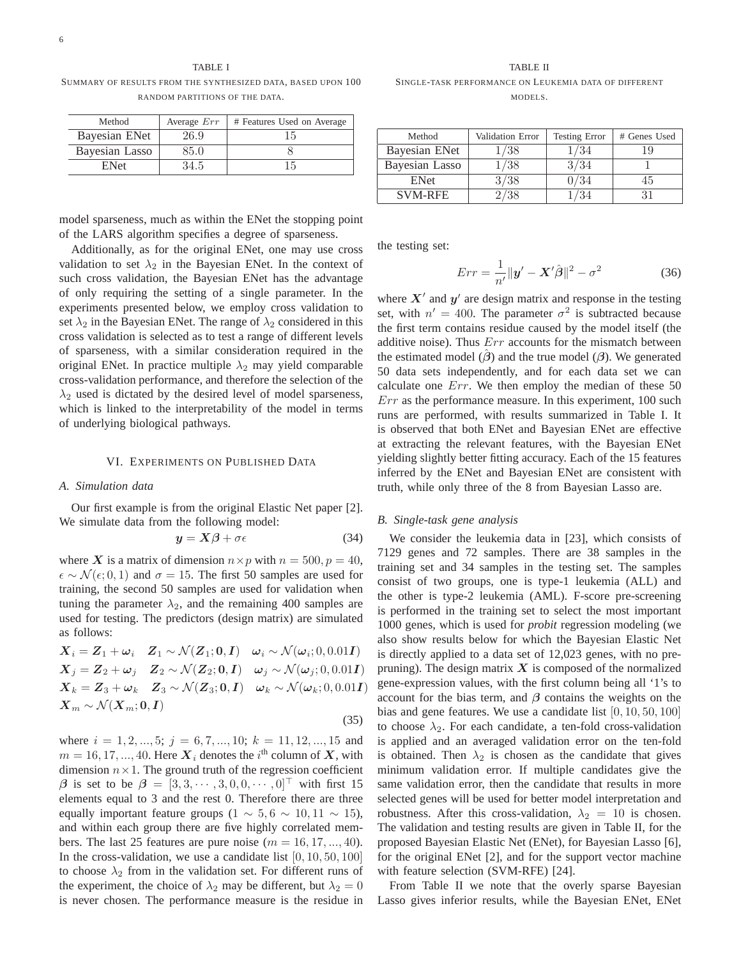TABLE I SUMMARY OF RESULTS FROM THE SYNTHESIZED DATA, BASED UPON 100

RANDOM PARTITIONS OF THE DATA.

| Method         | Average $Err$ | # Features Used on Average |
|----------------|---------------|----------------------------|
| Bayesian ENet  | 26.9          | 15                         |
| Bayesian Lasso | 85.0          |                            |
| <b>ENet</b>    | 34.5          | 15                         |
|                |               |                            |

model sparseness, much as within the ENet the stopping point of the LARS algorithm specifies a degree of sparseness.

Additionally, as for the original ENet, one may use cross validation to set  $\lambda_2$  in the Bayesian ENet. In the context of such cross validation, the Bayesian ENet has the advantage of only requiring the setting of a single parameter. In the experiments presented below, we employ cross validation to set  $\lambda_2$  in the Bayesian ENet. The range of  $\lambda_2$  considered in this cross validation is selected as to test a range of different levels of sparseness, with a similar consideration required in the original ENet. In practice multiple  $\lambda_2$  may yield comparable cross-validation performance, and therefore the selection of the  $\lambda_2$  used is dictated by the desired level of model sparseness, which is linked to the interpretability of the model in terms of underlying biological pathways.

#### VI. EXPERIMENTS ON PUBLISHED DATA

### *A. Simulation data*

Our first example is from the original Elastic Net paper [2]. We simulate data from the following model:

$$
y = X\beta + \sigma \epsilon \tag{34}
$$

where X is a matrix of dimension  $n \times p$  with  $n = 500, p = 40$ ,  $\epsilon \sim \mathcal{N}(\epsilon; 0, 1)$  and  $\sigma = 15$ . The first 50 samples are used for training, the second 50 samples are used for validation when tuning the parameter  $\lambda_2$ , and the remaining 400 samples are used for testing. The predictors (design matrix) are simulated as follows:

$$
X_i = Z_1 + \omega_i \quad Z_1 \sim \mathcal{N}(Z_1; 0, I) \quad \omega_i \sim \mathcal{N}(\omega_i; 0, 0.01I)
$$
  
\n
$$
X_j = Z_2 + \omega_j \quad Z_2 \sim \mathcal{N}(Z_2; 0, I) \quad \omega_j \sim \mathcal{N}(\omega_j; 0, 0.01I)
$$
  
\n
$$
X_k = Z_3 + \omega_k \quad Z_3 \sim \mathcal{N}(Z_3; 0, I) \quad \omega_k \sim \mathcal{N}(\omega_k; 0, 0.01I)
$$
  
\n
$$
X_m \sim \mathcal{N}(X_m; 0, I)
$$
\n(35)

where  $i = 1, 2, ..., 5; j = 6, 7, ..., 10; k = 11, 12, ..., 15$  and  $m = 16, 17, ..., 40$ . Here  $X_i$  denotes the *i*<sup>th</sup> column of *X*, with dimension  $n \times 1$ . The ground truth of the regression coefficient dimension  $n \times 1$ . The ground truth of the regression coefficient *β* is set to be  $\beta = [3, 3, \dots, 3, 0, 0, \dots, 0]$  with first 15<br>elements equal to 3 and the rest 0. Therefore there are three elements equal to 3 and the rest 0. Therefore there are three equally important feature groups (1  $\sim 5, 6 \sim 10, 11 \sim 15$ ), and within each group there are five highly correlated members. The last 25 features are pure noise ( $m = 16, 17, ..., 40$ ). In the cross-validation, we use a candidate list  $[0, 10, 50, 100]$ to choose  $\lambda_2$  from in the validation set. For different runs of the experiment, the choice of  $\lambda_2$  may be different, but  $\lambda_2 = 0$ is never chosen. The performance measure is the residue in

TABLE II SINGLE-TASK PERFORMANCE ON LEUKEMIA DATA OF DIFFERENT

MODELS.

| Method         | Validation Error | <b>Testing Error</b> | # Genes Used |
|----------------|------------------|----------------------|--------------|
| Bayesian ENet  | /38              | /34                  | 19           |
| Bayesian Lasso | 1/38             | 3/34                 |              |
| <b>ENet</b>    | 3/38             | $\frac{0}{34}$       | 45           |
| <b>SVM-RFE</b> |                  |                      |              |

the testing set:

$$
Err = \frac{1}{n'} ||\mathbf{y}' - \mathbf{X}'\hat{\boldsymbol{\beta}}||^2 - \sigma^2
$$
 (36)

where  $X'$  and  $y'$  are design matrix and response in the testing set, with  $n' = 400$ . The parameter  $\sigma^2$  is subtracted because the first term contains residue caused by the model itself (the additive noise). Thus  $Err$  accounts for the mismatch between the estimated model ( $\beta$ ) and the true model ( $\beta$ ). We generated 50 data sets independently, and for each data set we can calculate one Err. We then employ the median of these 50 Err as the performance measure. In this experiment, 100 such runs are performed, with results summarized in Table I. It is observed that both ENet and Bayesian ENet are effective at extracting the relevant features, with the Bayesian ENet yielding slightly better fitting accuracy. Each of the 15 features inferred by the ENet and Bayesian ENet are consistent with truth, while only three of the 8 from Bayesian Lasso are.

#### *B. Single-task gene analysis*

We consider the leukemia data in [23], which consists of 7129 genes and 72 samples. There are 38 samples in the training set and 34 samples in the testing set. The samples consist of two groups, one is type-1 leukemia (ALL) and the other is type-2 leukemia (AML). F-score pre-screening is performed in the training set to select the most important 1000 genes, which is used for *probit* regression modeling (we also show results below for which the Bayesian Elastic Net is directly applied to a data set of 12,023 genes, with no prepruning). The design matrix  $X$  is composed of the normalized gene-expression values, with the first column being all '1's to account for the bias term, and *β* contains the weights on the bias and gene features. We use a candidate list [0, 10, 50, 100] to choose  $\lambda_2$ . For each candidate, a ten-fold cross-validation is applied and an averaged validation error on the ten-fold is obtained. Then  $\lambda_2$  is chosen as the candidate that gives minimum validation error. If multiple candidates give the same validation error, then the candidate that results in more selected genes will be used for better model interpretation and robustness. After this cross-validation,  $\lambda_2 = 10$  is chosen. The validation and testing results are given in Table II, for the proposed Bayesian Elastic Net (ENet), for Bayesian Lasso [6], for the original ENet [2], and for the support vector machine with feature selection (SVM-RFE) [24].

From Table II we note that the overly sparse Bayesian Lasso gives inferior results, while the Bayesian ENet, ENet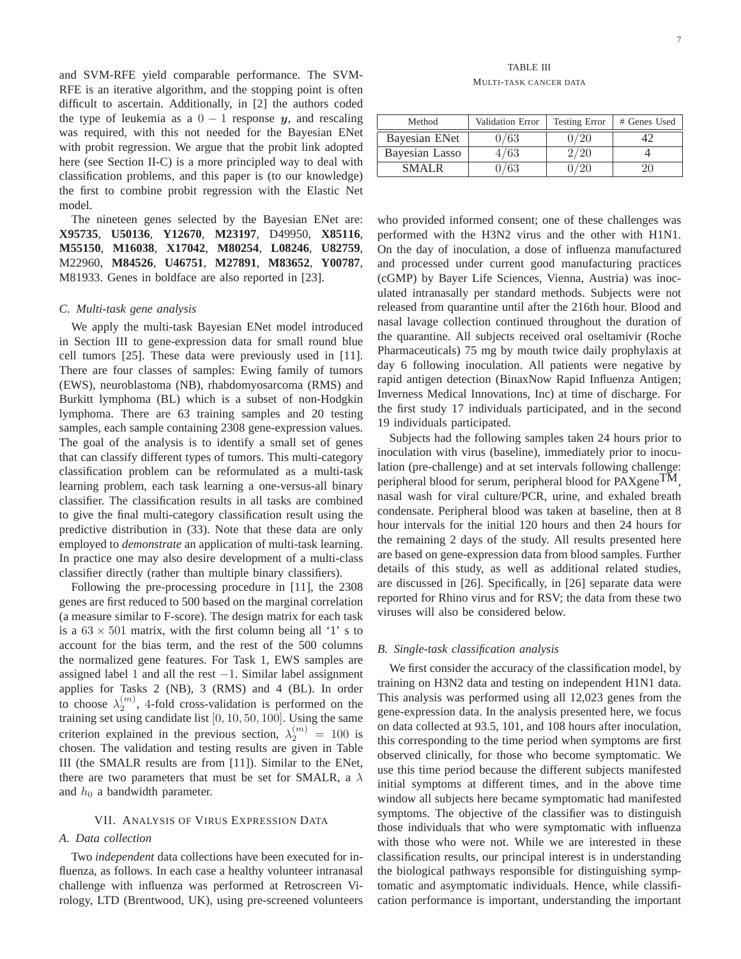and SVM-RFE yield comparable performance. The SVM-RFE is an iterative algorithm, and the stopping point is often difficult to ascertain. Additionally, in [2] the authors coded the type of leukemia as a  $0 - 1$  response *y*, and rescaling was required, with this not needed for the Bayesian ENet with probit regression. We argue that the probit link adopted here (see Section II-C) is a more principled way to deal with classification problems, and this paper is (to our knowledge) the first to combine probit regression with the Elastic Net model.

The nineteen genes selected by the Bayesian ENet are: **X95735**, **U50136**, **Y12670**, **M23197**, D49950, **X85116**, **M55150**, **M16038**, **X17042**, **M80254**, **L08246**, **U82759**, M22960, **M84526**, **U46751**, **M27891**, **M83652**, **Y00787**, M81933. Genes in boldface are also reported in [23].

#### *C. Multi-task gene analysis*

We apply the multi-task Bayesian ENet model introduced in Section III to gene-expression data for small round blue cell tumors [25]. These data were previously used in [11]. There are four classes of samples: Ewing family of tumors (EWS), neuroblastoma (NB), rhabdomyosarcoma (RMS) and Burkitt lymphoma (BL) which is a subset of non-Hodgkin lymphoma. There are 63 training samples and 20 testing samples, each sample containing 2308 gene-expression values. The goal of the analysis is to identify a small set of genes that can classify different types of tumors. This multi-category classification problem can be reformulated as a multi-task learning problem, each task learning a one-versus-all binary classifier. The classification results in all tasks are combined to give the final multi-category classification result using the predictive distribution in (33). Note that these data are only employed to *demonstrate* an application of multi-task learning. In practice one may also desire development of a multi-class classifier directly (rather than multiple binary classifiers).

Following the pre-processing procedure in [11], the 2308 genes are first reduced to 500 based on the marginal correlation (a measure similar to F-score). The design matrix for each task is a  $63 \times 501$  matrix, with the first column being all '1' s to account for the bias term, and the rest of the 500 columns the normalized gene features. For Task 1, EWS samples are assigned label 1 and all the rest  $-1$ . Similar label assignment applies for Tasks 2 (NB), 3 (RMS) and 4 (BL). In order to choose  $\lambda_2^{(m)}$ , 4-fold cross-validation is performed on the training set using candidate list [0, 10, 50, 100]. Using the same training set using candidate list [0, 10, 50, 100]. Using the same criterion explained in the previous section,  $\lambda_2^{(m)} = 100$  is<br>chosen. The validation and testing results are given in Table chosen. The validation and testing results are given in Table III (the SMALR results are from [11]). Similar to the ENet, there are two parameters that must be set for SMALR, a  $\lambda$ and  $h_0$  a bandwidth parameter.

#### VII. ANALYSIS OF VIRUS EXPRESSION DATA

## *A. Data collection*

Two *independent* data collections have been executed for influenza, as follows. In each case a healthy volunteer intranasal challenge with influenza was performed at Retroscreen Virology, LTD (Brentwood, UK), using pre-screened volunteers

TABLE III MULTI-TASK CANCER DATA

| Method         | Validation Error | <b>Testing Error</b> | # Genes Used |
|----------------|------------------|----------------------|--------------|
| Bayesian ENet  | )/63             | $/20^{-}$            |              |
| Bayesian Lasso | 1/63             |                      |              |
| <b>SMALR</b>   | /63              |                      |              |
|                |                  |                      |              |

who provided informed consent; one of these challenges was performed with the H3N2 virus and the other with H1N1. On the day of inoculation, a dose of influenza manufactured and processed under current good manufacturing practices (cGMP) by Bayer Life Sciences, Vienna, Austria) was inoculated intranasally per standard methods. Subjects were not released from quarantine until after the 216th hour. Blood and nasal lavage collection continued throughout the duration of the quarantine. All subjects received oral oseltamivir (Roche Pharmaceuticals) 75 mg by mouth twice daily prophylaxis at day 6 following inoculation. All patients were negative by rapid antigen detection (BinaxNow Rapid Influenza Antigen; Inverness Medical Innovations, Inc) at time of discharge. For the first study 17 individuals participated, and in the second 19 individuals participated.

Subjects had the following samples taken 24 hours prior to inoculation with virus (baseline), immediately prior to inoculation (pre-challenge) and at set intervals following challenge: peripheral blood for serum, peripheral blood for PAXgene<sup>TM</sup>, nasal wash for viral culture/PCR, urine, and exhaled breath condensate. Peripheral blood was taken at baseline, then at 8 hour intervals for the initial 120 hours and then 24 hours for the remaining 2 days of the study. All results presented here are based on gene-expression data from blood samples. Further details of this study, as well as additional related studies, are discussed in [26]. Specifically, in [26] separate data were reported for Rhino virus and for RSV; the data from these two viruses will also be considered below.

#### *B. Single-task classification analysis*

We first consider the accuracy of the classification model, by training on H3N2 data and testing on independent H1N1 data. This analysis was performed using all 12,023 genes from the gene-expression data. In the analysis presented here, we focus on data collected at 93.5, 101, and 108 hours after inoculation, this corresponding to the time period when symptoms are first observed clinically, for those who become symptomatic. We use this time period because the different subjects manifested initial symptoms at different times, and in the above time window all subjects here became symptomatic had manifested symptoms. The objective of the classifier was to distinguish those individuals that who were symptomatic with influenza with those who were not. While we are interested in these classification results, our principal interest is in understanding the biological pathways responsible for distinguishing symptomatic and asymptomatic individuals. Hence, while classification performance is important, understanding the important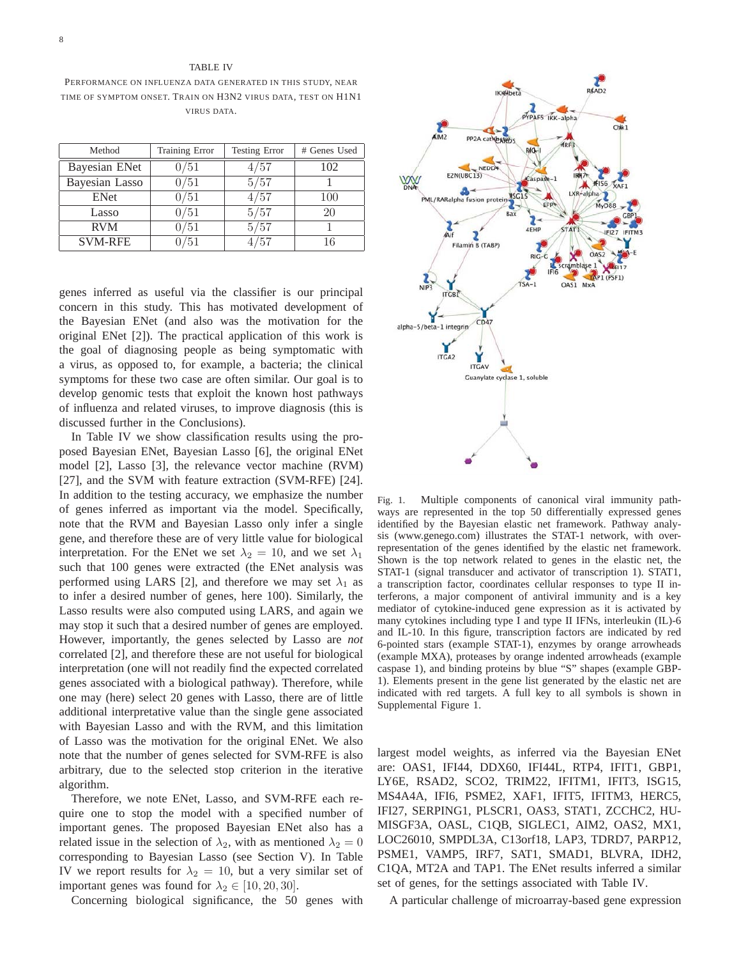## TABLE IV

PERFORMANCE ON INFLUENZA DATA GENERATED IN THIS STUDY, NEAR TIME OF SYMPTOM ONSET. TRAIN ON H3N2 VIRUS DATA, TEST ON H1N1 VIRUS DATA.

| Method         | Training Error | <b>Testing Error</b> | # Genes Used |
|----------------|----------------|----------------------|--------------|
| Bayesian ENet  | 0/51           | 4/57                 | 102          |
| Bayesian Lasso | 0/51           | 5/57                 |              |
| <b>ENet</b>    | 0/51           | 4/57                 | 100          |
| Lasso          | 0/51           | 5/57                 | 20           |
| <b>RVM</b>     | 0/51           | 5/57                 |              |
| <b>SVM-RFE</b> | 0/51           | /57                  | 16           |
|                |                |                      |              |

genes inferred as useful via the classifier is our principal concern in this study. This has motivated development of the Bayesian ENet (and also was the motivation for the original ENet [2]). The practical application of this work is the goal of diagnosing people as being symptomatic with a virus, as opposed to, for example, a bacteria; the clinical symptoms for these two case are often similar. Our goal is to develop genomic tests that exploit the known host pathways of influenza and related viruses, to improve diagnosis (this is discussed further in the Conclusions).

In Table IV we show classification results using the proposed Bayesian ENet, Bayesian Lasso [6], the original ENet model [2], Lasso [3], the relevance vector machine (RVM) [27], and the SVM with feature extraction (SVM-RFE) [24]. In addition to the testing accuracy, we emphasize the number of genes inferred as important via the model. Specifically, note that the RVM and Bayesian Lasso only infer a single gene, and therefore these are of very little value for biological interpretation. For the ENet we set  $\lambda_2 = 10$ , and we set  $\lambda_1$ such that 100 genes were extracted (the ENet analysis was performed using LARS [2], and therefore we may set  $\lambda_1$  as to infer a desired number of genes, here 100). Similarly, the Lasso results were also computed using LARS, and again we may stop it such that a desired number of genes are employed. However, importantly, the genes selected by Lasso are *not* correlated [2], and therefore these are not useful for biological interpretation (one will not readily find the expected correlated genes associated with a biological pathway). Therefore, while one may (here) select 20 genes with Lasso, there are of little additional interpretative value than the single gene associated with Bayesian Lasso and with the RVM, and this limitation of Lasso was the motivation for the original ENet. We also note that the number of genes selected for SVM-RFE is also arbitrary, due to the selected stop criterion in the iterative algorithm.

Therefore, we note ENet, Lasso, and SVM-RFE each require one to stop the model with a specified number of important genes. The proposed Bayesian ENet also has a related issue in the selection of  $\lambda_2$ , with as mentioned  $\lambda_2 = 0$ corresponding to Bayesian Lasso (see Section V). In Table IV we report results for  $\lambda_2 = 10$ , but a very similar set of important genes was found for  $\lambda_2 \in [10, 20, 30]$ .

Concerning biological significance, the 50 genes with



Fig. 1. Multiple components of canonical viral immunity pathways are represented in the top 50 differentially expressed genes identified by the Bayesian elastic net framework. Pathway analysis (www.genego.com) illustrates the STAT-1 network, with overrepresentation of the genes identified by the elastic net framework. Shown is the top network related to genes in the elastic net, the STAT-1 (signal transducer and activator of transcription 1). STAT1, a transcription factor, coordinates cellular responses to type II interferons, a major component of antiviral immunity and is a key mediator of cytokine-induced gene expression as it is activated by many cytokines including type I and type II IFNs, interleukin (IL)-6 and IL-10. In this figure, transcription factors are indicated by red 6-pointed stars (example STAT-1), enzymes by orange arrowheads (example MXA), proteases by orange indented arrowheads (example caspase 1), and binding proteins by blue "S" shapes (example GBP-1). Elements present in the gene list generated by the elastic net are indicated with red targets. A full key to all symbols is shown in Supplemental Figure 1.

largest model weights, as inferred via the Bayesian ENet are: OAS1, IFI44, DDX60, IFI44L, RTP4, IFIT1, GBP1, LY6E, RSAD2, SCO2, TRIM22, IFITM1, IFIT3, ISG15, MS4A4A, IFI6, PSME2, XAF1, IFIT5, IFITM3, HERC5, IFI27, SERPING1, PLSCR1, OAS3, STAT1, ZCCHC2, HU-MISGF3A, OASL, C1QB, SIGLEC1, AIM2, OAS2, MX1, LOC26010, SMPDL3A, C13orf18, LAP3, TDRD7, PARP12, PSME1, VAMP5, IRF7, SAT1, SMAD1, BLVRA, IDH2, C1QA, MT2A and TAP1. The ENet results inferred a similar set of genes, for the settings associated with Table IV.

A particular challenge of microarray-based gene expression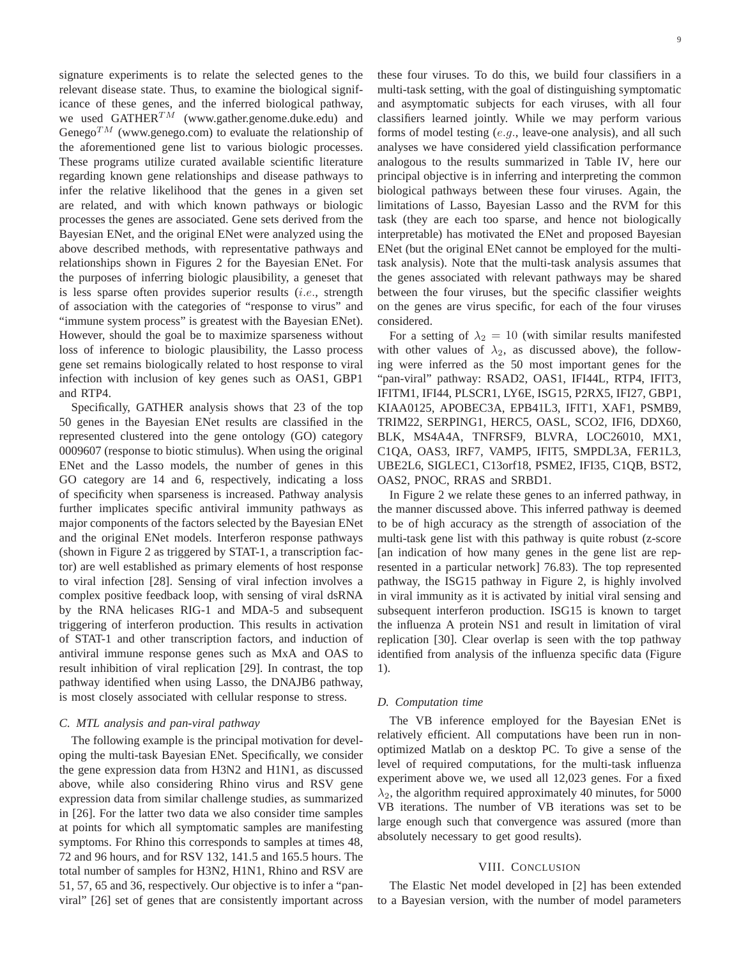signature experiments is to relate the selected genes to the relevant disease state. Thus, to examine the biological significance of these genes, and the inferred biological pathway, we used  $GATHER^{TM}$  (www.gather.genome.duke.edu) and Genego<sup>TM</sup> (www.genego.com) to evaluate the relationship of the aforementioned gene list to various biologic processes. These programs utilize curated available scientific literature regarding known gene relationships and disease pathways to infer the relative likelihood that the genes in a given set are related, and with which known pathways or biologic processes the genes are associated. Gene sets derived from the Bayesian ENet, and the original ENet were analyzed using the above described methods, with representative pathways and relationships shown in Figures 2 for the Bayesian ENet. For the purposes of inferring biologic plausibility, a geneset that is less sparse often provides superior results  $(i.e.,$  strength of association with the categories of "response to virus" and "immune system process" is greatest with the Bayesian ENet). However, should the goal be to maximize sparseness without loss of inference to biologic plausibility, the Lasso process gene set remains biologically related to host response to viral infection with inclusion of key genes such as OAS1, GBP1 and RTP4.

Specifically, GATHER analysis shows that 23 of the top 50 genes in the Bayesian ENet results are classified in the represented clustered into the gene ontology (GO) category 0009607 (response to biotic stimulus). When using the original ENet and the Lasso models, the number of genes in this GO category are 14 and 6, respectively, indicating a loss of specificity when sparseness is increased. Pathway analysis further implicates specific antiviral immunity pathways as major components of the factors selected by the Bayesian ENet and the original ENet models. Interferon response pathways (shown in Figure 2 as triggered by STAT-1, a transcription factor) are well established as primary elements of host response to viral infection [28]. Sensing of viral infection involves a complex positive feedback loop, with sensing of viral dsRNA by the RNA helicases RIG-1 and MDA-5 and subsequent triggering of interferon production. This results in activation of STAT-1 and other transcription factors, and induction of antiviral immune response genes such as MxA and OAS to result inhibition of viral replication [29]. In contrast, the top pathway identified when using Lasso, the DNAJB6 pathway, is most closely associated with cellular response to stress.

#### *C. MTL analysis and pan-viral pathway*

The following example is the principal motivation for developing the multi-task Bayesian ENet. Specifically, we consider the gene expression data from H3N2 and H1N1, as discussed above, while also considering Rhino virus and RSV gene expression data from similar challenge studies, as summarized in [26]. For the latter two data we also consider time samples at points for which all symptomatic samples are manifesting symptoms. For Rhino this corresponds to samples at times 48, 72 and 96 hours, and for RSV 132, 141.5 and 165.5 hours. The total number of samples for H3N2, H1N1, Rhino and RSV are 51, 57, 65 and 36, respectively. Our objective is to infer a "panviral" [26] set of genes that are consistently important across these four viruses. To do this, we build four classifiers in a multi-task setting, with the goal of distinguishing symptomatic and asymptomatic subjects for each viruses, with all four classifiers learned jointly. While we may perform various forms of model testing (e.g., leave-one analysis), and all such analyses we have considered yield classification performance analogous to the results summarized in Table IV, here our principal objective is in inferring and interpreting the common biological pathways between these four viruses. Again, the limitations of Lasso, Bayesian Lasso and the RVM for this task (they are each too sparse, and hence not biologically interpretable) has motivated the ENet and proposed Bayesian ENet (but the original ENet cannot be employed for the multitask analysis). Note that the multi-task analysis assumes that the genes associated with relevant pathways may be shared between the four viruses, but the specific classifier weights on the genes are virus specific, for each of the four viruses considered.

For a setting of  $\lambda_2 = 10$  (with similar results manifested with other values of  $\lambda_2$ , as discussed above), the following were inferred as the 50 most important genes for the "pan-viral" pathway: RSAD2, OAS1, IFI44L, RTP4, IFIT3, IFITM1, IFI44, PLSCR1, LY6E, ISG15, P2RX5, IFI27, GBP1, KIAA0125, APOBEC3A, EPB41L3, IFIT1, XAF1, PSMB9, TRIM22, SERPING1, HERC5, OASL, SCO2, IFI6, DDX60, BLK, MS4A4A, TNFRSF9, BLVRA, LOC26010, MX1, C1QA, OAS3, IRF7, VAMP5, IFIT5, SMPDL3A, FER1L3, UBE2L6, SIGLEC1, C13orf18, PSME2, IFI35, C1QB, BST2, OAS2, PNOC, RRAS and SRBD1.

In Figure 2 we relate these genes to an inferred pathway, in the manner discussed above. This inferred pathway is deemed to be of high accuracy as the strength of association of the multi-task gene list with this pathway is quite robust (z-score [an indication of how many genes in the gene list are represented in a particular network] 76.83). The top represented pathway, the ISG15 pathway in Figure 2, is highly involved in viral immunity as it is activated by initial viral sensing and subsequent interferon production. ISG15 is known to target the influenza A protein NS1 and result in limitation of viral replication [30]. Clear overlap is seen with the top pathway identified from analysis of the influenza specific data (Figure 1).

#### *D. Computation time*

The VB inference employed for the Bayesian ENet is relatively efficient. All computations have been run in nonoptimized Matlab on a desktop PC. To give a sense of the level of required computations, for the multi-task influenza experiment above we, we used all 12,023 genes. For a fixed  $\lambda_2$ , the algorithm required approximately 40 minutes, for 5000 VB iterations. The number of VB iterations was set to be large enough such that convergence was assured (more than absolutely necessary to get good results).

### VIII. CONCLUSION

The Elastic Net model developed in [2] has been extended to a Bayesian version, with the number of model parameters